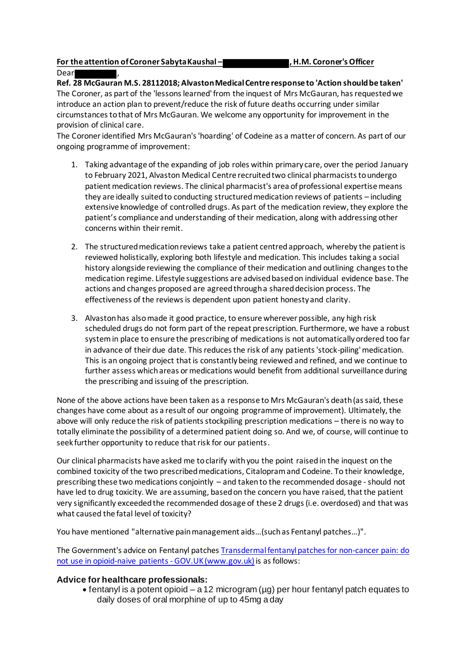#### **For the attention of Coroner Sabyta Kaushal – , H.M. Coroner's Officer**

Dear

**Ref. 28 McGauran M.S. 28112018; Alvaston Medical Centre response to 'Action should be taken'** The Coroner, as part of the 'lessons learned' from the inquest of Mrs McGauran, has requested we introduce an action plan to prevent/reduce the risk of future deaths occurring under similar circumstances to that of Mrs McGauran. We welcome any opportunity for improvement in the provision of clinical care.

The Coroner identified Mrs McGauran's 'hoarding' of Codeine as a matter of concern. As part of our ongoing programme of improvement:

- 1. Taking advantage of the expanding of job roles within primary care, over the period January to February 2021, Alvaston Medical Centre recruited two clinical pharmacists to undergo patient medication reviews. The clinical pharmacist's area of professional expertise means they are ideally suited to conducting structured medication reviews of patients – including extensive knowledge of controlled drugs. As part of the medication review, they explore the patient's compliance and understanding of their medication, along with addressing other concerns within their remit.
- 2. The structured medication reviews take a patient centred approach, whereby the patient is reviewed holistically, exploring both lifestyle and medication. This includes taking a social history alongside reviewing the compliance of their medication and outlining changes to the medication regime. Lifestyle suggestions are advised based on individual evidence base. The actions and changes proposed are agreed through a shared decision process. The effectiveness of the reviews is dependent upon patient honesty and clarity.
- 3. Alvaston has also made it good practice, to ensure wherever possible, any high risk scheduled drugs do not form part of the repeat prescription. Furthermore, we have a robust system in place to ensure the prescribing of medications is not automatically ordered too far in advance of their due date. This reduces the risk of any patients 'stock-piling' medication. This is an ongoing project that is constantly being reviewed and refined, and we continue to further assess which areas or medications would benefit from additional surveillance during the prescribing and issuing of the prescription.

None of the above actions have been taken as a response to Mrs McGauran's death (as said, these changes have come about as a result of our ongoing programme of improvement). Ultimately, the above will only reduce the risk of patients stockpiling prescription medications – there is no way to totally eliminate the possibility of a determined patient doing so. And we, of course, will continue to seek further opportunity to reduce that risk for our patients.

Our clinical pharmacists have asked me to clarify with you the point raised in the inquest on the combined toxicity of the two prescribed medications, Citalopram and Codeine. To their knowledge, prescribing these two medications conjointly – and taken to the recommended dosage - should not have led to drug toxicity. We are assuming, based on the concern you have raised, that the patient very significantly exceeded the recommended dosage of these 2 drugs (i.e. overdosed) and that was what caused the fatal level of toxicity?

You have mentioned "alternative pain management aids…(such as Fentanyl patches…)".

The Government's advice on Fentanyl patche[s Transdermal fentanyl patches for non-cancer pain: do](https://www.gov.uk/drug-safety-update/transdermal-fentanyl-patches-for-non-cancer-pain-do-not-use-in-opioid-naive-patients)  [not use in opioid-naive patients -](https://www.gov.uk/drug-safety-update/transdermal-fentanyl-patches-for-non-cancer-pain-do-not-use-in-opioid-naive-patients) GOV.UK (www.gov.uk) is as follows:

## **Advice for healthcare professionals:**

• fentanyl is a potent opioid – a 12 microgram (µg) per hour fentanyl patch equates to daily doses of oral morphine of up to 45mg a day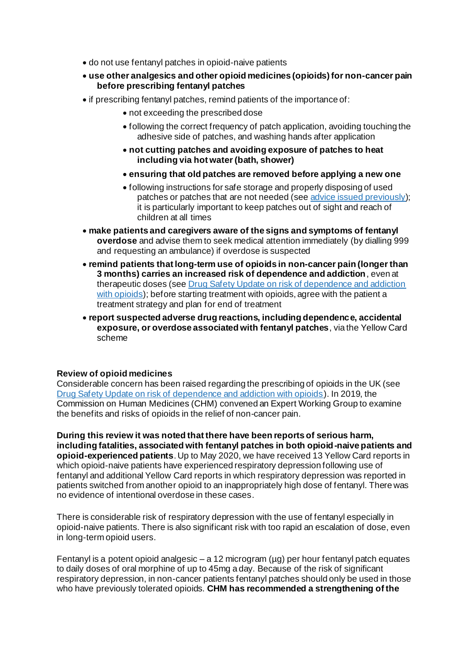- do not use fentanyl patches in opioid-naive patients
- **use other analgesics and other opioid medicines (opioids) for non-cancer pain before prescribing fentanyl patches**
- if prescribing fentanyl patches, remind patients of the importance of:
	- not exceeding the prescribed dose
	- following the correct frequency of patch application, avoiding touching the adhesive side of patches, and washing hands after application
	- **not cutting patches and avoiding exposure of patches to heat including via hot water (bath, shower)**
	- **ensuring that old patches are removed before applying a new one**
	- following instructions for safe storage and properly disposing of used patches or patches that are not needed (see advice issued previously); it is particularly important to keep patches out of sight and reach of children at all times
- **make patients and caregivers aware of the signs and symptoms of fentanyl overdose** and advise them to seek medical attention immediately (by dialling 999 and requesting an ambulance) if overdose is suspected
- **remind patients that long-term use of opioids in non-cancer pain (longer than 3 months) carries an increased risk of dependence and addiction**, even at therapeutic doses (see Drug Safety Update on risk of dependence and addiction with opioids); before starting treatment with opioids, agree with the patient a treatment strategy and plan for end of treatment
- **report suspected adverse drug reactions, including dependence, accidental exposure, or overdose associated with fentanyl patches**, via th[e Yellow Card](https://yellowcard.mhra.gov.uk/)  [scheme](https://yellowcard.mhra.gov.uk/)

## **Review of opioid medicines**

Considerable concern has been raised regarding the prescribing of opioids in the UK (see Drug Safety Update on risk of dependence and addiction with opioids). In 2019, the Commission on Human Medicines (CHM) convened an Expert Working Group to examine the benefits and risks of opioids in the relief of non-cancer pain.

**During this review it was noted that there have been reports of serious harm, including fatalities, associated with fentanyl patches in both opioid-naive patients and opioid-experienced patients**. Up to May 2020, we have received 13 Yellow Card reports in which opioid-naive patients have experienced respiratory depression following use of fentanyl and additional Yellow Card reports in which respiratory depression was reported in patients switched from another opioid to an inappropriately high dose of fentanyl. There was no evidence of intentional overdose in these cases.

There is considerable risk of respiratory depression with the use of fentanyl especially in opioid-naive patients. There is also significant risk with too rapid an escalation of dose, even in long-term opioid users.

Fentanyl is a potent opioid analgesic – a 12 microgram ( $\mu$ g) per hour fentanyl patch equates to daily doses of oral morphine of up to 45mg a day. Because of the risk of significant respiratory depression, in non-cancer patients fentanyl patches should only be used in those who have previously tolerated opioids. **CHM has recommended a strengthening of the**